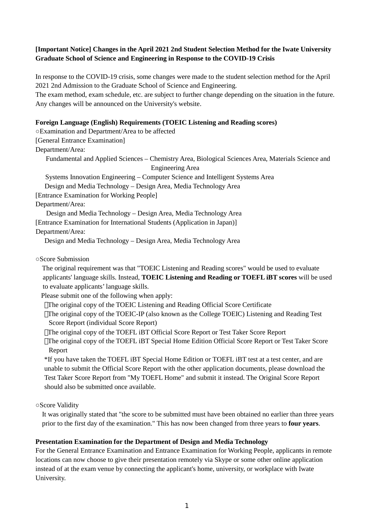# **[Important Notice] Changes in the April 2021 2nd Student Selection Method for the Iwate University Graduate School of Science and Engineering in Response to the COVID-19 Crisis**

In response to the COVID-19 crisis, some changes were made to the student selection method for the April 2021 2nd Admission to the Graduate School of Science and Engineering.

The exam method, exam schedule, etc. are subject to further change depending on the situation in the future. Any changes will be announced on the University's website.

#### **Foreign Language (English) Requirements (TOEIC Listening and Reading scores)**

○Examination and Department/Area to be affected

[General Entrance Examination]

### Department/Area:

Fundamental and Applied Sciences – Chemistry Area, Biological Sciences Area, Materials Science and

Engineering Area

Systems Innovation Engineering – Computer Science and Intelligent Systems Area

Design and Media Technology – Design Area, Media Technology Area

[Entrance Examination for Working People]

Department/Area:

Design and Media Technology – Design Area, Media Technology Area

[Entrance Examination for International Students (Application in Japan)]

### Department/Area:

Design and Media Technology – Design Area, Media Technology Area

### ○Score Submission

The original requirement was that "TOEIC Listening and Reading scores" would be used to evaluate applicants' language skills. Instead, **TOEIC Listening and Reading or TOEFL iBT scores** will be used to evaluate applicants' language skills.

Please submit one of the following when apply:

The original copy of the TOEIC Listening and Reading Official Score Certificate The original copy of the TOEIC-IP (also known as the College TOEIC) Listening and Reading Test

Score Report (individual Score Report)

The original copy of the TOEFL iBT Official Score Report or Test Taker Score Report

The original copy of the TOEFL iBT Special Home Edition Official Score Report or Test Taker Score Report

\*If you have taken the TOEFL iBT Special Home Edition or TOEFL iBT test at a test center, and are unable to submit the Official Score Report with the other application documents, please download the Test Taker Score Report from "My TOEFL Home" and submit it instead. The Original Score Report should also be submitted once available.

○Score Validity

It was originally stated that "the score to be submitted must have been obtained no earlier than three years prior to the first day of the examination." This has now been changed from three years to **four years**.

## **Presentation Examination for the Department of Design and Media Technology**

For the General Entrance Examination and Entrance Examination for Working People, applicants in remote locations can now choose to give their presentation remotely via Skype or some other online application instead of at the exam venue by connecting the applicant's home, university, or workplace with Iwate University.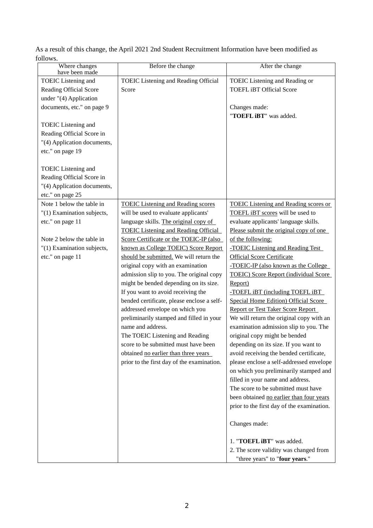As a result of this change, the April 2021 2nd Student Recruitment Information have been modified as follows.

| Where changes<br>have been made | Before the change                           | After the change                             |
|---------------------------------|---------------------------------------------|----------------------------------------------|
| TOEIC Listening and             | TOEIC Listening and Reading Official        | TOEIC Listening and Reading or               |
| Reading Official Score          | Score                                       | <b>TOEFL iBT Official Score</b>              |
| under "(4) Application          |                                             |                                              |
| documents, etc." on page 9      |                                             | Changes made:                                |
|                                 |                                             | "TOEFL iBT" was added.                       |
| TOEIC Listening and             |                                             |                                              |
| Reading Official Score in       |                                             |                                              |
| "(4) Application documents,     |                                             |                                              |
| etc." on page 19                |                                             |                                              |
| TOEIC Listening and             |                                             |                                              |
| Reading Official Score in       |                                             |                                              |
| "(4) Application documents,     |                                             |                                              |
| etc." on page 25                |                                             |                                              |
| Note 1 below the table in       | <b>TOEIC</b> Listening and Reading scores   | <b>TOEIC Listening and Reading scores or</b> |
| "(1) Examination subjects,      | will be used to evaluate applicants'        | TOEFL iBT scores will be used to             |
| etc." on page 11                | language skills. The original copy of       | evaluate applicants' language skills.        |
|                                 | <b>TOEIC Listening and Reading Official</b> | Please submit the original copy of one       |
| Note 2 below the table in       | Score Certificate or the TOEIC-IP (also     | of the following:                            |
| "(1) Examination subjects,      | known as College TOEIC) Score Report        | -TOEIC Listening and Reading Test            |
| etc." on page 11                | should be submitted. We will return the     | <b>Official Score Certificate</b>            |
|                                 | original copy with an examination           | -TOEIC-IP (also known as the College         |
|                                 | admission slip to you. The original copy    | <b>TOEIC)</b> Score Report (individual Score |
|                                 | might be bended depending on its size.      | Report)                                      |
|                                 | If you want to avoid receiving the          | -TOEFL iBT (including TOEFL iBT              |
|                                 | bended certificate, please enclose a self-  | Special Home Edition) Official Score         |
|                                 | addressed envelope on which you             | <b>Report or Test Taker Score Report</b>     |
|                                 | preliminarily stamped and filled in your    | We will return the original copy with an     |
|                                 | name and address.                           | examination admission slip to you. The       |
|                                 | The TOEIC Listening and Reading             | original copy might be bended                |
|                                 | score to be submitted must have been        | depending on its size. If you want to        |
|                                 | obtained no earlier than three years        | avoid receiving the bended certificate,      |
|                                 | prior to the first day of the examination.  | please enclose a self-addressed envelope     |
|                                 |                                             | on which you preliminarily stamped and       |
|                                 |                                             | filled in your name and address.             |
|                                 |                                             | The score to be submitted must have          |
|                                 |                                             | been obtained no earlier than four years     |
|                                 |                                             | prior to the first day of the examination.   |
|                                 |                                             | Changes made:                                |
|                                 |                                             | 1. "TOEFL iBT" was added.                    |
|                                 |                                             | 2. The score validity was changed from       |
|                                 |                                             | "three years" to "four years."               |